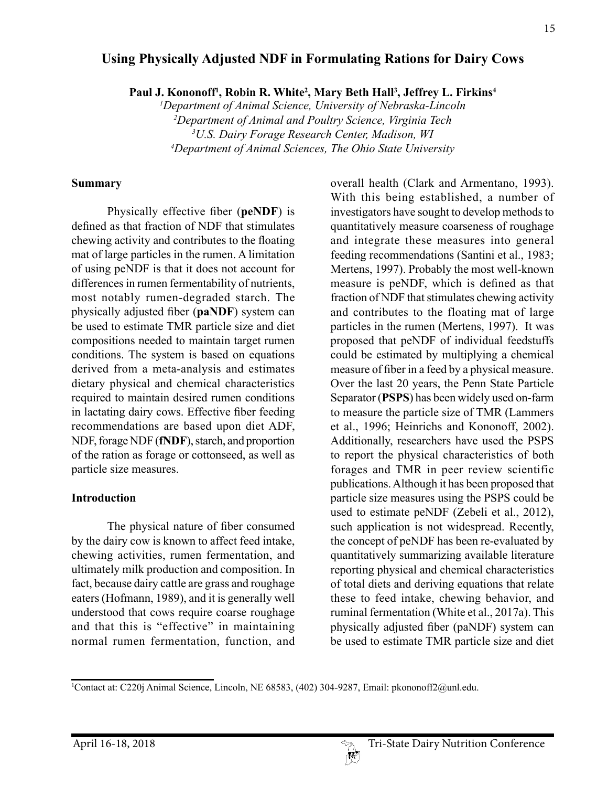#### 15

## **Using Physically Adjusted NDF in Formulating Rations for Dairy Cows**

Paul J. Kononoff<sup>1</sup>, Robin R. White<sup>2</sup>, Mary Beth Hall<sup>3</sup>, Jeffrey L. Firkins<sup>4</sup>

 *Department of Animal Science, University of Nebraska-Lincoln Department of Animal and Poultry Science, Virginia Tech U.S. Dairy Forage Research Center, Madison, WI Department of Animal Sciences, The Ohio State University*

#### **Summary**

Physically effective fiber (**peNDF**) is defined as that fraction of NDF that stimulates chewing activity and contributes to the floating mat of large particles in the rumen. A limitation of using peNDF is that it does not account for differences in rumen fermentability of nutrients, most notably rumen-degraded starch. The physically adjusted fiber (**paNDF**) system can be used to estimate TMR particle size and diet compositions needed to maintain target rumen conditions. The system is based on equations derived from a meta-analysis and estimates dietary physical and chemical characteristics required to maintain desired rumen conditions in lactating dairy cows. Effective fiber feeding recommendations are based upon diet ADF, NDF, forage NDF (**fNDF**), starch, and proportion of the ration as forage or cottonseed, as well as particle size measures.

#### **Introduction**

The physical nature of fiber consumed by the dairy cow is known to affect feed intake, chewing activities, rumen fermentation, and ultimately milk production and composition. In fact, because dairy cattle are grass and roughage eaters (Hofmann, 1989), and it is generally well understood that cows require coarse roughage and that this is "effective" in maintaining normal rumen fermentation, function, and overall health (Clark and Armentano, 1993). With this being established, a number of investigators have sought to develop methods to quantitatively measure coarseness of roughage and integrate these measures into general feeding recommendations (Santini et al., 1983; Mertens, 1997). Probably the most well-known measure is peNDF, which is defined as that fraction of NDF that stimulates chewing activity and contributes to the floating mat of large particles in the rumen (Mertens, 1997). It was proposed that peNDF of individual feedstuffs could be estimated by multiplying a chemical measure of fiber in a feed by a physical measure. Over the last 20 years, the Penn State Particle Separator (**PSPS**) has been widely used on-farm to measure the particle size of TMR (Lammers et al., 1996; Heinrichs and Kononoff, 2002). Additionally, researchers have used the PSPS to report the physical characteristics of both forages and TMR in peer review scientific publications. Although it has been proposed that particle size measures using the PSPS could be used to estimate peNDF (Zebeli et al., 2012), such application is not widespread. Recently, the concept of peNDF has been re-evaluated by quantitatively summarizing available literature reporting physical and chemical characteristics of total diets and deriving equations that relate these to feed intake, chewing behavior, and ruminal fermentation (White et al., 2017a). This physically adjusted fiber (paNDF) system can be used to estimate TMR particle size and diet

<sup>1</sup> Contact at: C220j Animal Science, Lincoln, NE 68583, (402) 304-9287, Email: pkononoff2@unl.edu.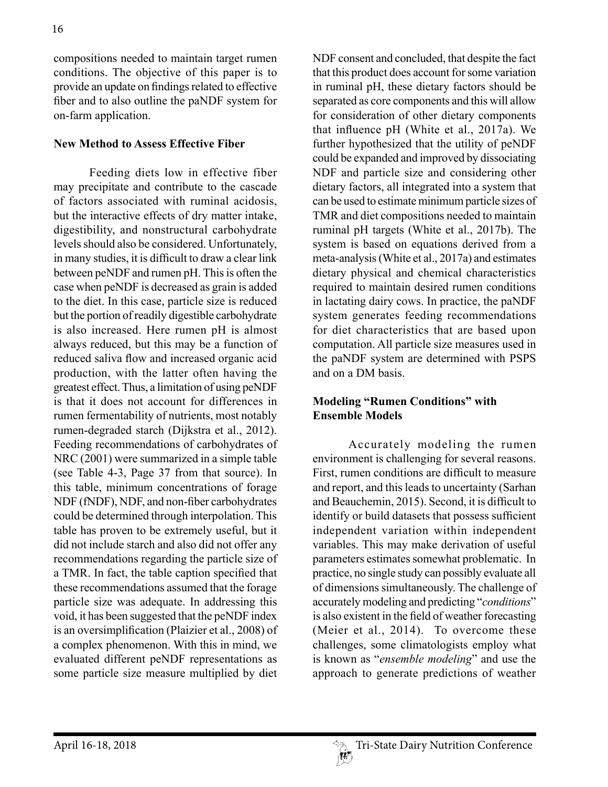compositions needed to maintain target rumen conditions. The objective of this paper is to provide an update on findings related to effective fiber and to also outline the paNDF system for on-farm application.

#### **New Method to Assess Effective Fiber**

Feeding diets low in effective fiber may precipitate and contribute to the cascade of factors associated with ruminal acidosis, but the interactive effects of dry matter intake, digestibility, and nonstructural carbohydrate levels should also be considered. Unfortunately, in many studies, it is difficult to draw a clear link between peNDF and rumen pH. This is often the case when peNDF is decreased as grain is added to the diet. In this case, particle size is reduced but the portion of readily digestible carbohydrate is also increased. Here rumen pH is almost always reduced, but this may be a function of reduced saliva flow and increased organic acid production, with the latter often having the greatest effect. Thus, a limitation of using peNDF is that it does not account for differences in rumen fermentability of nutrients, most notably rumen-degraded starch (Dijkstra et al., 2012). Feeding recommendations of carbohydrates of NRC (2001) were summarized in a simple table (see Table 4-3, Page 37 from that source). In this table, minimum concentrations of forage NDF (fNDF), NDF, and non-fiber carbohydrates could be determined through interpolation. This table has proven to be extremely useful, but it did not include starch and also did not offer any recommendations regarding the particle size of a TMR. In fact, the table caption specified that these recommendations assumed that the forage particle size was adequate. In addressing this void, it has been suggested that the peNDF index is an oversimplification (Plaizier et al., 2008) of a complex phenomenon. With this in mind, we evaluated different peNDF representations as some particle size measure multiplied by diet

NDF consent and concluded, that despite the fact that this product does account for some variation in ruminal pH, these dietary factors should be separated as core components and this will allow for consideration of other dietary components that influence pH (White et al., 2017a). We further hypothesized that the utility of peNDF could be expanded and improved by dissociating NDF and particle size and considering other dietary factors, all integrated into a system that can be used to estimate minimum particle sizes of TMR and diet compositions needed to maintain ruminal pH targets (White et al., 2017b). The system is based on equations derived from a meta-analysis (White et al., 2017a) and estimates dietary physical and chemical characteristics required to maintain desired rumen conditions in lactating dairy cows. In practice, the paNDF system generates feeding recommendations for diet characteristics that are based upon computation. All particle size measures used in the paNDF system are determined with PSPS and on a DM basis.

## **Modeling "Rumen Conditions" with Ensemble Models**

Accurately modeling the rumen environment is challenging for several reasons. First, rumen conditions are difficult to measure and report, and this leads to uncertainty (Sarhan and Beauchemin, 2015). Second, it is difficult to identify or build datasets that possess sufficient independent variation within independent variables. This may make derivation of useful parameters estimates somewhat problematic. In practice, no single study can possibly evaluate all of dimensions simultaneously. The challenge of accurately modeling and predicting "*conditions*" is also existent in the field of weather forecasting (Meier et al., 2014). To overcome these challenges, some climatologists employ what is known as "*ensemble modeling*" and use the approach to generate predictions of weather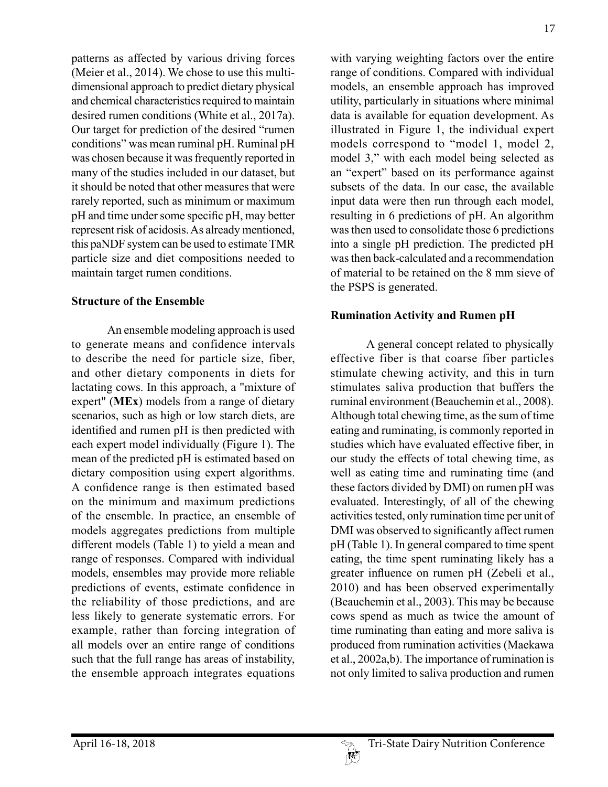patterns as affected by various driving forces (Meier et al., 2014). We chose to use this multidimensional approach to predict dietary physical and chemical characteristics required to maintain desired rumen conditions (White et al., 2017a). Our target for prediction of the desired "rumen conditions" was mean ruminal pH. Ruminal pH was chosen because it was frequently reported in many of the studies included in our dataset, but it should be noted that other measures that were rarely reported, such as minimum or maximum pH and time under some specific pH, may better represent risk of acidosis. As already mentioned, this paNDF system can be used to estimate TMR particle size and diet compositions needed to maintain target rumen conditions.

#### **Structure of the Ensemble**

An ensemble modeling approach is used to generate means and confidence intervals to describe the need for particle size, fiber, and other dietary components in diets for lactating cows. In this approach, a "mixture of expert" (**MEx**) models from a range of dietary scenarios, such as high or low starch diets, are identified and rumen pH is then predicted with each expert model individually (Figure 1). The mean of the predicted pH is estimated based on dietary composition using expert algorithms. A confidence range is then estimated based on the minimum and maximum predictions of the ensemble. In practice, an ensemble of models aggregates predictions from multiple different models (Table 1) to yield a mean and range of responses. Compared with individual models, ensembles may provide more reliable predictions of events, estimate confidence in the reliability of those predictions, and are less likely to generate systematic errors. For example, rather than forcing integration of all models over an entire range of conditions such that the full range has areas of instability, the ensemble approach integrates equations

with varying weighting factors over the entire range of conditions. Compared with individual models, an ensemble approach has improved utility, particularly in situations where minimal data is available for equation development. As illustrated in Figure 1, the individual expert models correspond to "model 1, model 2, model 3," with each model being selected as an "expert" based on its performance against subsets of the data. In our case, the available input data were then run through each model, resulting in 6 predictions of pH. An algorithm was then used to consolidate those 6 predictions into a single pH prediction. The predicted pH was then back-calculated and a recommendation of material to be retained on the 8 mm sieve of the PSPS is generated.

#### **Rumination Activity and Rumen pH**

A general concept related to physically effective fiber is that coarse fiber particles stimulate chewing activity, and this in turn stimulates saliva production that buffers the ruminal environment (Beauchemin et al., 2008). Although total chewing time, as the sum of time eating and ruminating, is commonly reported in studies which have evaluated effective fiber, in our study the effects of total chewing time, as well as eating time and ruminating time (and these factors divided by DMI) on rumen pH was evaluated. Interestingly, of all of the chewing activities tested, only rumination time per unit of DMI was observed to significantly affect rumen pH (Table 1). In general compared to time spent eating, the time spent ruminating likely has a greater influence on rumen pH (Zebeli et al., 2010) and has been observed experimentally (Beauchemin et al., 2003). This may be because cows spend as much as twice the amount of time ruminating than eating and more saliva is produced from rumination activities (Maekawa et al., 2002a,b). The importance of rumination is not only limited to saliva production and rumen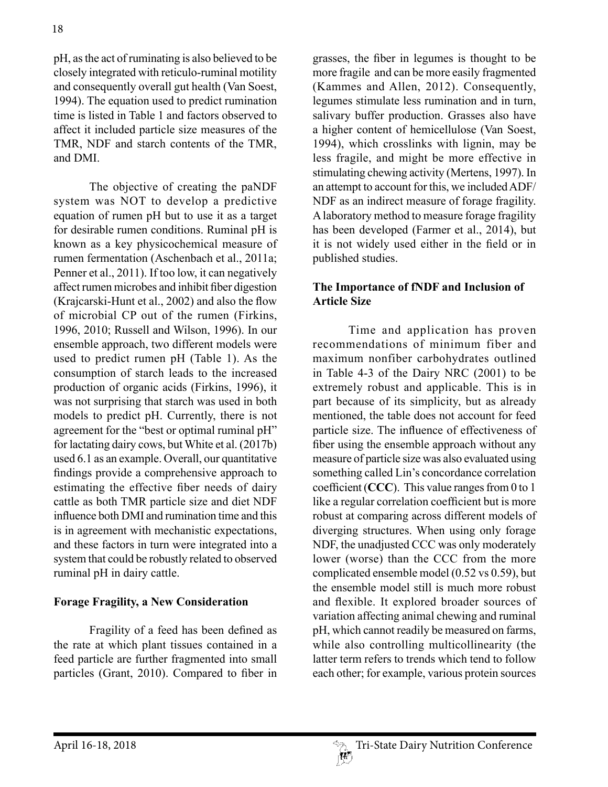pH, as the act of ruminating is also believed to be closely integrated with reticulo-ruminal motility and consequently overall gut health (Van Soest, 1994). The equation used to predict rumination time is listed in Table 1 and factors observed to affect it included particle size measures of the TMR, NDF and starch contents of the TMR, and DMI.

The objective of creating the paNDF system was NOT to develop a predictive equation of rumen pH but to use it as a target for desirable rumen conditions. Ruminal pH is known as a key physicochemical measure of rumen fermentation (Aschenbach et al., 2011a; Penner et al., 2011). If too low, it can negatively affect rumen microbes and inhibit fiber digestion (Krajcarski-Hunt et al., 2002) and also the flow of microbial CP out of the rumen (Firkins, 1996, 2010; Russell and Wilson, 1996). In our ensemble approach, two different models were used to predict rumen pH (Table 1). As the consumption of starch leads to the increased production of organic acids (Firkins, 1996), it was not surprising that starch was used in both models to predict pH. Currently, there is not agreement for the "best or optimal ruminal pH" for lactating dairy cows, but White et al. (2017b) used 6.1 as an example. Overall, our quantitative findings provide a comprehensive approach to estimating the effective fiber needs of dairy cattle as both TMR particle size and diet NDF influence both DMI and rumination time and this is in agreement with mechanistic expectations, and these factors in turn were integrated into a system that could be robustly related to observed ruminal pH in dairy cattle.

# **Forage Fragility, a New Consideration**

Fragility of a feed has been defined as the rate at which plant tissues contained in a feed particle are further fragmented into small particles (Grant, 2010). Compared to fiber in

grasses, the fiber in legumes is thought to be more fragile and can be more easily fragmented (Kammes and Allen, 2012). Consequently, legumes stimulate less rumination and in turn, salivary buffer production. Grasses also have a higher content of hemicellulose (Van Soest, 1994), which crosslinks with lignin, may be less fragile, and might be more effective in stimulating chewing activity (Mertens, 1997). In an attempt to account for this, we included ADF/ NDF as an indirect measure of forage fragility. A laboratory method to measure forage fragility has been developed (Farmer et al., 2014), but it is not widely used either in the field or in published studies.

# **The Importance of fNDF and Inclusion of Article Size**

Time and application has proven recommendations of minimum fiber and maximum nonfiber carbohydrates outlined in Table 4-3 of the Dairy NRC (2001) to be extremely robust and applicable. This is in part because of its simplicity, but as already mentioned, the table does not account for feed particle size. The influence of effectiveness of fiber using the ensemble approach without any measure of particle size was also evaluated using something called Lin's concordance correlation coefficient (**CCC**). This value ranges from 0 to 1 like a regular correlation coefficient but is more robust at comparing across different models of diverging structures. When using only forage NDF, the unadjusted CCC was only moderately lower (worse) than the CCC from the more complicated ensemble model (0.52 vs 0.59), but the ensemble model still is much more robust and flexible. It explored broader sources of variation affecting animal chewing and ruminal pH, which cannot readily be measured on farms, while also controlling multicollinearity (the latter term refers to trends which tend to follow each other; for example, various protein sources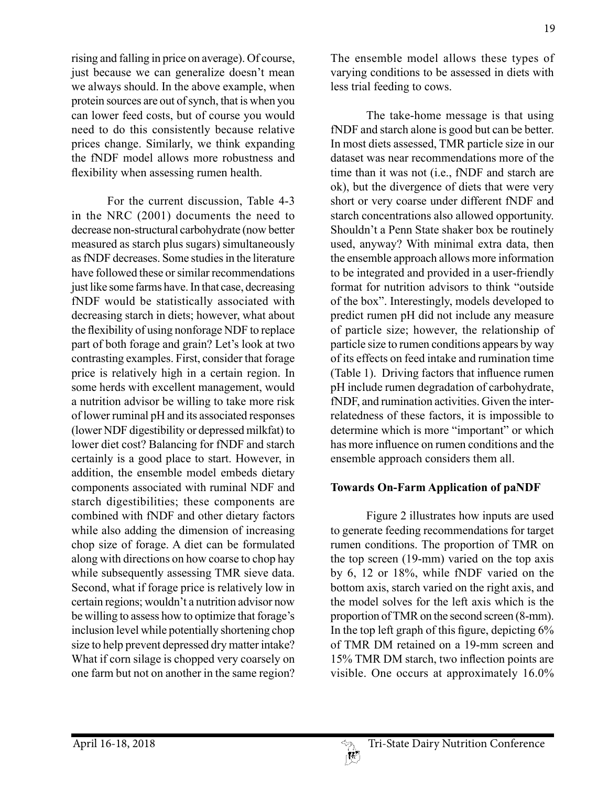19

rising and falling in price on average). Of course, just because we can generalize doesn't mean we always should. In the above example, when protein sources are out of synch, that is when you can lower feed costs, but of course you would need to do this consistently because relative prices change. Similarly, we think expanding the fNDF model allows more robustness and flexibility when assessing rumen health.

For the current discussion, Table 4-3 in the NRC (2001) documents the need to decrease non-structural carbohydrate (now better measured as starch plus sugars) simultaneously as fNDF decreases. Some studies in the literature have followed these or similar recommendations just like some farms have. In that case, decreasing fNDF would be statistically associated with decreasing starch in diets; however, what about the flexibility of using nonforage NDF to replace part of both forage and grain? Let's look at two contrasting examples. First, consider that forage price is relatively high in a certain region. In some herds with excellent management, would a nutrition advisor be willing to take more risk of lower ruminal pH and its associated responses (lower NDF digestibility or depressed milkfat) to lower diet cost? Balancing for fNDF and starch certainly is a good place to start. However, in addition, the ensemble model embeds dietary components associated with ruminal NDF and starch digestibilities; these components are combined with fNDF and other dietary factors while also adding the dimension of increasing chop size of forage. A diet can be formulated along with directions on how coarse to chop hay while subsequently assessing TMR sieve data. Second, what if forage price is relatively low in certain regions; wouldn't a nutrition advisor now be willing to assess how to optimize that forage's inclusion level while potentially shortening chop size to help prevent depressed dry matter intake? What if corn silage is chopped very coarsely on one farm but not on another in the same region?

The ensemble model allows these types of varying conditions to be assessed in diets with less trial feeding to cows.

The take-home message is that using fNDF and starch alone is good but can be better. In most diets assessed, TMR particle size in our dataset was near recommendations more of the time than it was not (i.e., fNDF and starch are ok), but the divergence of diets that were very short or very coarse under different fNDF and starch concentrations also allowed opportunity. Shouldn't a Penn State shaker box be routinely used, anyway? With minimal extra data, then the ensemble approach allows more information to be integrated and provided in a user-friendly format for nutrition advisors to think "outside of the box". Interestingly, models developed to predict rumen pH did not include any measure of particle size; however, the relationship of particle size to rumen conditions appears by way of its effects on feed intake and rumination time (Table 1). Driving factors that influence rumen pH include rumen degradation of carbohydrate, fNDF, and rumination activities. Given the interrelatedness of these factors, it is impossible to determine which is more "important" or which has more influence on rumen conditions and the ensemble approach considers them all.

# **Towards On-Farm Application of paNDF**

Figure 2 illustrates how inputs are used to generate feeding recommendations for target rumen conditions. The proportion of TMR on the top screen (19-mm) varied on the top axis by 6, 12 or 18%, while fNDF varied on the bottom axis, starch varied on the right axis, and the model solves for the left axis which is the proportion of TMR on the second screen (8-mm). In the top left graph of this figure, depicting 6% of TMR DM retained on a 19-mm screen and 15% TMR DM starch, two inflection points are visible. One occurs at approximately 16.0%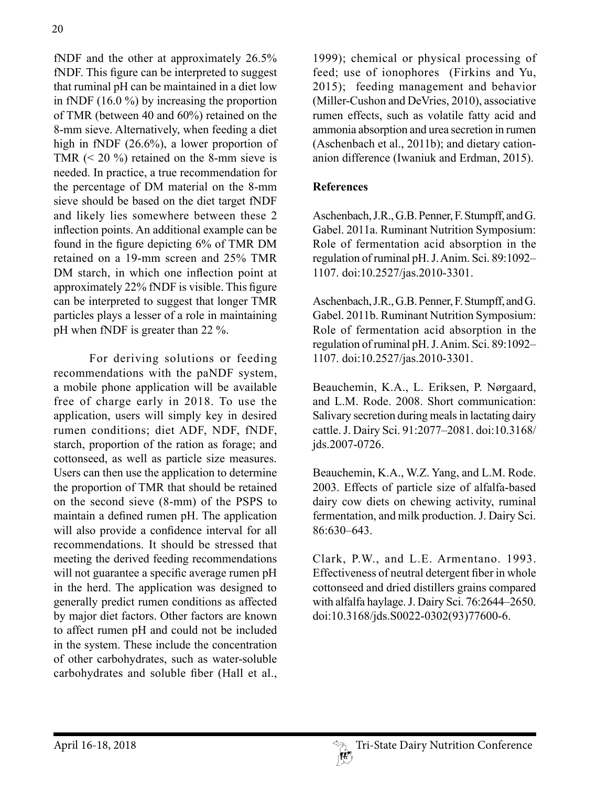fNDF and the other at approximately 26.5% fNDF. This figure can be interpreted to suggest that ruminal pH can be maintained in a diet low in fNDF (16.0 %) by increasing the proportion of TMR (between 40 and 60%) retained on the 8-mm sieve. Alternatively, when feeding a diet high in fNDF (26.6%), a lower proportion of TMR  $(< 20\%$ ) retained on the 8-mm sieve is needed. In practice, a true recommendation for the percentage of DM material on the 8-mm sieve should be based on the diet target fNDF and likely lies somewhere between these 2 inflection points. An additional example can be found in the figure depicting 6% of TMR DM retained on a 19-mm screen and 25% TMR DM starch, in which one inflection point at approximately 22% fNDF is visible. This figure can be interpreted to suggest that longer TMR particles plays a lesser of a role in maintaining pH when fNDF is greater than 22 %.

For deriving solutions or feeding recommendations with the paNDF system, a mobile phone application will be available free of charge early in 2018. To use the application, users will simply key in desired rumen conditions; diet ADF, NDF, fNDF, starch, proportion of the ration as forage; and cottonseed, as well as particle size measures. Users can then use the application to determine the proportion of TMR that should be retained on the second sieve (8-mm) of the PSPS to maintain a defined rumen pH. The application will also provide a confidence interval for all recommendations. It should be stressed that meeting the derived feeding recommendations will not guarantee a specific average rumen pH in the herd. The application was designed to generally predict rumen conditions as affected by major diet factors. Other factors are known to affect rumen pH and could not be included in the system. These include the concentration of other carbohydrates, such as water-soluble carbohydrates and soluble fiber (Hall et al.,

1999); chemical or physical processing of feed; use of ionophores (Firkins and Yu, 2015); feeding management and behavior (Miller-Cushon and DeVries, 2010), associative rumen effects, such as volatile fatty acid and ammonia absorption and urea secretion in rumen (Aschenbach et al., 2011b); and dietary cationanion difference (Iwaniuk and Erdman, 2015).

## **References**

Aschenbach, J.R., G.B. Penner, F. Stumpff, and G. Gabel. 2011a. Ruminant Nutrition Symposium: Role of fermentation acid absorption in the regulation of ruminal pH. J. Anim. Sci. 89:1092– 1107. doi:10.2527/jas.2010-3301.

Aschenbach, J.R., G.B. Penner, F. Stumpff, and G. Gabel. 2011b. Ruminant Nutrition Symposium: Role of fermentation acid absorption in the regulation of ruminal pH. J. Anim. Sci. 89:1092– 1107. doi:10.2527/jas.2010-3301.

Beauchemin, K.A., L. Eriksen, P. Nørgaard, and L.M. Rode. 2008. Short communication: Salivary secretion during meals in lactating dairy cattle. J. Dairy Sci. 91:2077–2081. doi:10.3168/ jds.2007-0726.

Beauchemin, K.A., W.Z. Yang, and L.M. Rode. 2003. Effects of particle size of alfalfa-based dairy cow diets on chewing activity, ruminal fermentation, and milk production. J. Dairy Sci. 86:630–643.

Clark, P.W., and L.E. Armentano. 1993. Effectiveness of neutral detergent fiber in whole cottonseed and dried distillers grains compared with alfalfa haylage. J. Dairy Sci. 76:2644–2650. doi:10.3168/jds.S0022-0302(93)77600-6.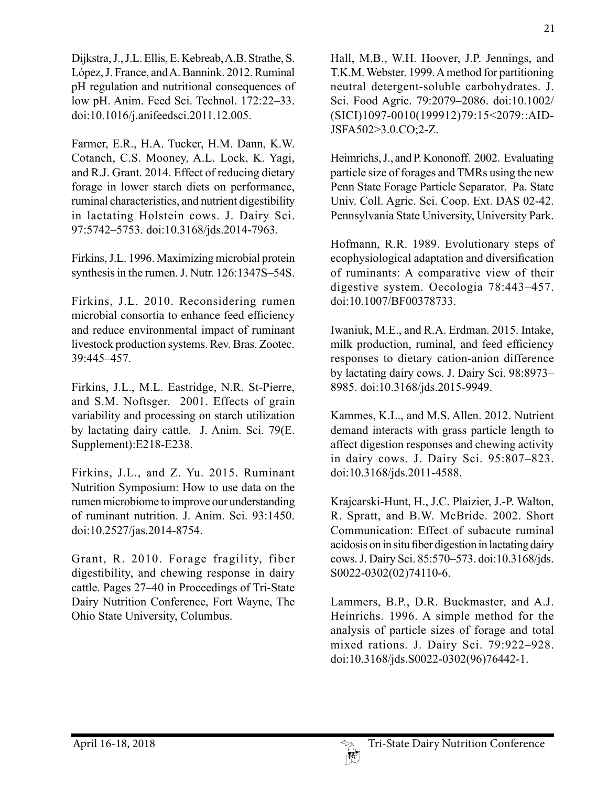Dijkstra, J., J.L. Ellis, E. Kebreab, A.B. Strathe, S. López, J. France, and A. Bannink. 2012. Ruminal pH regulation and nutritional consequences of low pH. Anim. Feed Sci. Technol. 172:22–33. doi:10.1016/j.anifeedsci.2011.12.005.

Farmer, E.R., H.A. Tucker, H.M. Dann, K.W. Cotanch, C.S. Mooney, A.L. Lock, K. Yagi, and R.J. Grant. 2014. Effect of reducing dietary forage in lower starch diets on performance, ruminal characteristics, and nutrient digestibility in lactating Holstein cows. J. Dairy Sci. 97:5742–5753. doi:10.3168/jds.2014-7963.

Firkins, J.L. 1996. Maximizing microbial protein synthesis in the rumen. J. Nutr. 126:1347S–54S.

Firkins, J.L. 2010. Reconsidering rumen microbial consortia to enhance feed efficiency and reduce environmental impact of ruminant livestock production systems. Rev. Bras. Zootec. 39:445–457.

Firkins, J.L., M.L. Eastridge, N.R. St-Pierre, and S.M. Noftsger. 2001. Effects of grain variability and processing on starch utilization by lactating dairy cattle. J. Anim. Sci. 79(E. Supplement):E218-E238.

Firkins, J.L., and Z. Yu. 2015. Ruminant Nutrition Symposium: How to use data on the rumen microbiome to improve our understanding of ruminant nutrition. J. Anim. Sci. 93:1450. doi:10.2527/jas.2014-8754.

Grant, R. 2010. Forage fragility, fiber digestibility, and chewing response in dairy cattle. Pages 27–40 in Proceedings of Tri-State Dairy Nutrition Conference, Fort Wayne, The Ohio State University, Columbus.

Hall, M.B., W.H. Hoover, J.P. Jennings, and T.K.M. Webster. 1999. A method for partitioning neutral detergent-soluble carbohydrates. J. Sci. Food Agric. 79:2079–2086. doi:10.1002/ (SICI)1097-0010(199912)79:15<2079::AID-JSFA502>3.0.CO;2-Z.

Heimrichs, J., and P. Kononoff. 2002. Evaluating particle size of forages and TMRs using the new Penn State Forage Particle Separator. Pa. State Univ. Coll. Agric. Sci. Coop. Ext. DAS 02-42. Pennsylvania State University, University Park.

Hofmann, R.R. 1989. Evolutionary steps of ecophysiological adaptation and diversification of ruminants: A comparative view of their digestive system. Oecologia 78:443–457. doi:10.1007/BF00378733.

Iwaniuk, M.E., and R.A. Erdman. 2015. Intake, milk production, ruminal, and feed efficiency responses to dietary cation-anion difference by lactating dairy cows. J. Dairy Sci. 98:8973– 8985. doi:10.3168/jds.2015-9949.

Kammes, K.L., and M.S. Allen. 2012. Nutrient demand interacts with grass particle length to affect digestion responses and chewing activity in dairy cows. J. Dairy Sci. 95:807–823. doi:10.3168/jds.2011-4588.

Krajcarski-Hunt, H., J.C. Plaizier, J.-P. Walton, R. Spratt, and B.W. McBride. 2002. Short Communication: Effect of subacute ruminal acidosis on in situ fiber digestion in lactating dairy cows. J. Dairy Sci. 85:570–573. doi:10.3168/jds. S0022-0302(02)74110-6.

Lammers, B.P., D.R. Buckmaster, and A.J. Heinrichs. 1996. A simple method for the analysis of particle sizes of forage and total mixed rations. J. Dairy Sci. 79:922–928. doi:10.3168/jds.S0022-0302(96)76442-1.

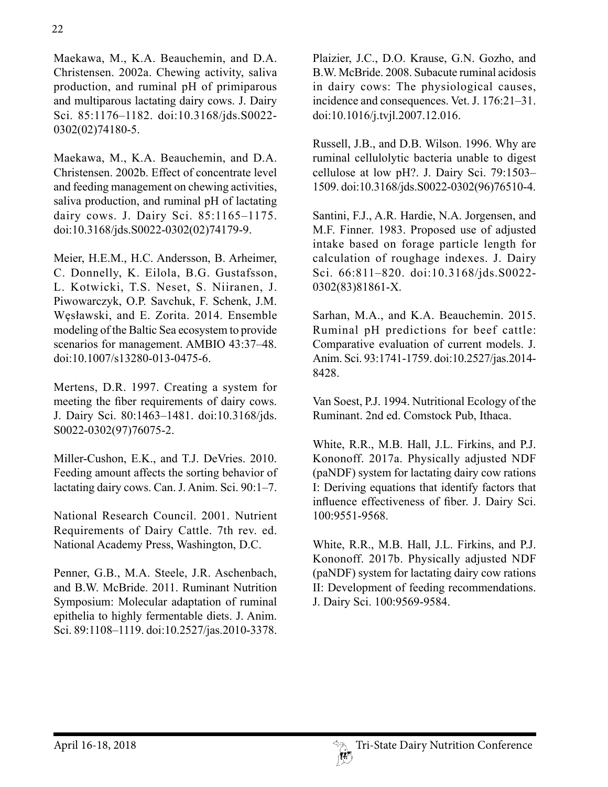22

Maekawa, M., K.A. Beauchemin, and D.A. Christensen. 2002a. Chewing activity, saliva production, and ruminal pH of primiparous and multiparous lactating dairy cows. J. Dairy Sci. 85:1176–1182. doi:10.3168/jds.S0022- 0302(02)74180-5.

Maekawa, M., K.A. Beauchemin, and D.A. Christensen. 2002b. Effect of concentrate level and feeding management on chewing activities, saliva production, and ruminal pH of lactating dairy cows. J. Dairy Sci. 85:1165–1175. doi:10.3168/jds.S0022-0302(02)74179-9.

Meier, H.E.M., H.C. Andersson, B. Arheimer, C. Donnelly, K. Eilola, B.G. Gustafsson, L. Kotwicki, T.S. Neset, S. Niiranen, J. Piwowarczyk, O.P. Savchuk, F. Schenk, J.M. Węsławski, and E. Zorita. 2014. Ensemble modeling of the Baltic Sea ecosystem to provide scenarios for management. AMBIO 43:37–48. doi:10.1007/s13280-013-0475-6.

Mertens, D.R. 1997. Creating a system for meeting the fiber requirements of dairy cows. J. Dairy Sci. 80:1463–1481. doi:10.3168/jds. S0022-0302(97)76075-2.

Miller-Cushon, E.K., and T.J. DeVries. 2010. Feeding amount affects the sorting behavior of lactating dairy cows. Can. J. Anim. Sci. 90:1–7.

National Research Council. 2001. Nutrient Requirements of Dairy Cattle. 7th rev. ed. National Academy Press, Washington, D.C.

Penner, G.B., M.A. Steele, J.R. Aschenbach, and B.W. McBride. 2011. Ruminant Nutrition Symposium: Molecular adaptation of ruminal epithelia to highly fermentable diets. J. Anim. Sci. 89:1108–1119. doi:10.2527/jas.2010-3378. Plaizier, J.C., D.O. Krause, G.N. Gozho, and B.W. McBride. 2008. Subacute ruminal acidosis in dairy cows: The physiological causes, incidence and consequences. Vet. J. 176:21–31. doi:10.1016/j.tvjl.2007.12.016.

Russell, J.B., and D.B. Wilson. 1996. Why are ruminal cellulolytic bacteria unable to digest cellulose at low pH?. J. Dairy Sci. 79:1503– 1509. doi:10.3168/jds.S0022-0302(96)76510-4.

Santini, F.J., A.R. Hardie, N.A. Jorgensen, and M.F. Finner. 1983. Proposed use of adjusted intake based on forage particle length for calculation of roughage indexes. J. Dairy Sci. 66:811–820. doi:10.3168/jds.S0022- 0302(83)81861-X.

Sarhan, M.A., and K.A. Beauchemin. 2015. Ruminal pH predictions for beef cattle: Comparative evaluation of current models. J. Anim. Sci. 93:1741-1759. doi:10.2527/jas.2014- 8428.

Van Soest, P.J. 1994. Nutritional Ecology of the Ruminant. 2nd ed. Comstock Pub, Ithaca.

White, R.R., M.B. Hall, J.L. Firkins, and P.J. Kononoff. 2017a. Physically adjusted NDF (paNDF) system for lactating dairy cow rations I: Deriving equations that identify factors that influence effectiveness of fiber. J. Dairy Sci. 100:9551-9568.

White, R.R., M.B. Hall, J.L. Firkins, and P.J. Kononoff. 2017b. Physically adjusted NDF (paNDF) system for lactating dairy cow rations II: Development of feeding recommendations. J. Dairy Sci. 100:9569-9584.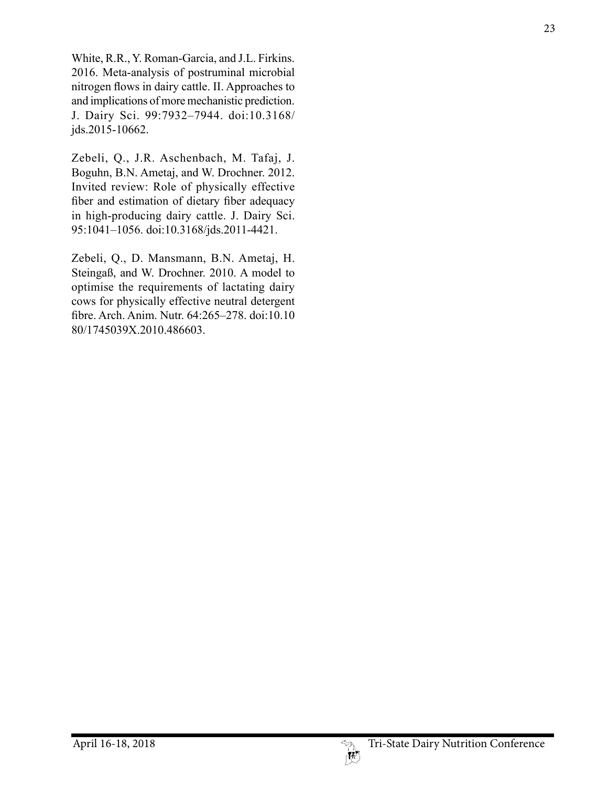White, R.R., Y. Roman-Garcia, and J.L. Firkins. 2016. Meta-analysis of postruminal microbial nitrogen flows in dairy cattle. II. Approaches to and implications of more mechanistic prediction. J. Dairy Sci. 99:7932–7944. doi:10.3168/ jds.2015-10662.

Zebeli, Q., J.R. Aschenbach, M. Tafaj, J. Boguhn, B.N. Ametaj, and W. Drochner. 2012. Invited review: Role of physically effective fiber and estimation of dietary fiber adequacy in high-producing dairy cattle. J. Dairy Sci. 95:1041–1056. doi:10.3168/jds.2011-4421.

Zebeli, Q., D. Mansmann, B.N. Ametaj, H. Steingaß, and W. Drochner. 2010. A model to optimise the requirements of lactating dairy cows for physically effective neutral detergent fibre. Arch. Anim. Nutr. 64:265–278. doi:10.10 80/1745039X.2010.486603.

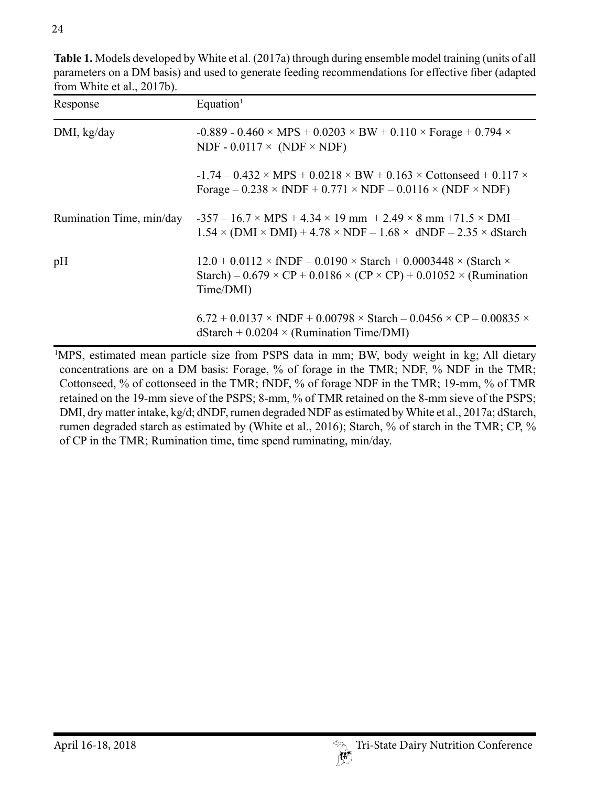| Response                 | Equation <sup>1</sup>                                                                                                                                                                                         |
|--------------------------|---------------------------------------------------------------------------------------------------------------------------------------------------------------------------------------------------------------|
| DMI, kg/day              | $-0.889 - 0.460 \times MPS + 0.0203 \times BW + 0.110 \times Forage + 0.794 \times$<br>NDF - $0.0117 \times (NDF \times NDF)$                                                                                 |
|                          | $-1.74 - 0.432 \times MPS + 0.0218 \times BW + 0.163 \times Contonseed + 0.117 \times$<br>Forage $-0.238 \times fNDF + 0.771 \times NDF - 0.0116 \times (NDF \times NDF)$                                     |
| Rumination Time, min/day | $-357 - 16.7 \times \text{MPS} + 4.34 \times 19 \text{ mm} + 2.49 \times 8 \text{ mm} + 71.5 \times \text{DMI} -$<br>$1.54 \times (DMI \times DMI) + 4.78 \times NDF - 1.68 \times dNDF - 2.35 \times dStart$ |
| pH                       | $12.0 + 0.0112 \times fNDF - 0.0190 \times Starch + 0.0003448 \times (Starch \times$<br>Starch) – $0.679 \times CP + 0.0186 \times (CP \times CP) + 0.01052 \times (Rumination$<br>Time/DMI)                  |
|                          | $6.72 + 0.0137 \times fNDF + 0.00798 \times Starch - 0.0456 \times CP - 0.00835 \times$<br>$dStart + 0.0204 \times (Rumination Time/DMI)$                                                                     |

**Table 1.** Models developed by White et al. (2017a) through during ensemble model training (units of all parameters on a DM basis) and used to generate feeding recommendations for effective fiber (adapted from White et al., 2017b).

1 MPS, estimated mean particle size from PSPS data in mm; BW, body weight in kg; All dietary concentrations are on a DM basis: Forage, % of forage in the TMR; NDF, % NDF in the TMR; Cottonseed, % of cottonseed in the TMR; fNDF, % of forage NDF in the TMR; 19-mm, % of TMR retained on the 19-mm sieve of the PSPS; 8-mm, % of TMR retained on the 8-mm sieve of the PSPS; DMI, dry matter intake, kg/d; dNDF, rumen degraded NDF as estimated by White et al., 2017a; dStarch, rumen degraded starch as estimated by (White et al., 2016); Starch, % of starch in the TMR; CP, % of CP in the TMR; Rumination time, time spend ruminating, min/day.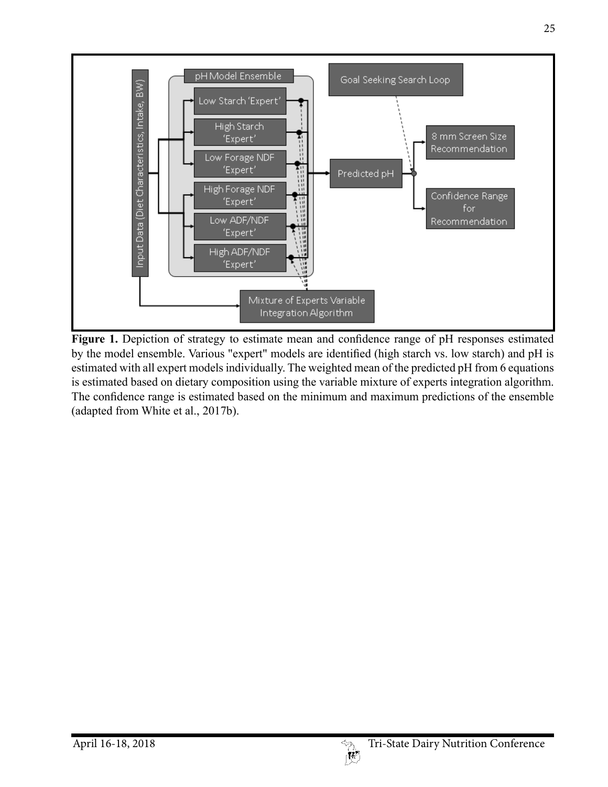

Figure 1. Depiction of strategy to estimate mean and confidence range of pH responses estimated by the model ensemble. Various "expert" models are identified (high starch vs. low starch) and pH is estimated with all expert models individually. The weighted mean of the predicted pH from 6 equations is estimated based on dietary composition using the variable mixture of experts integration algorithm. The confidence range is estimated based on the minimum and maximum predictions of the ensemble (adapted from White et al., 2017b).